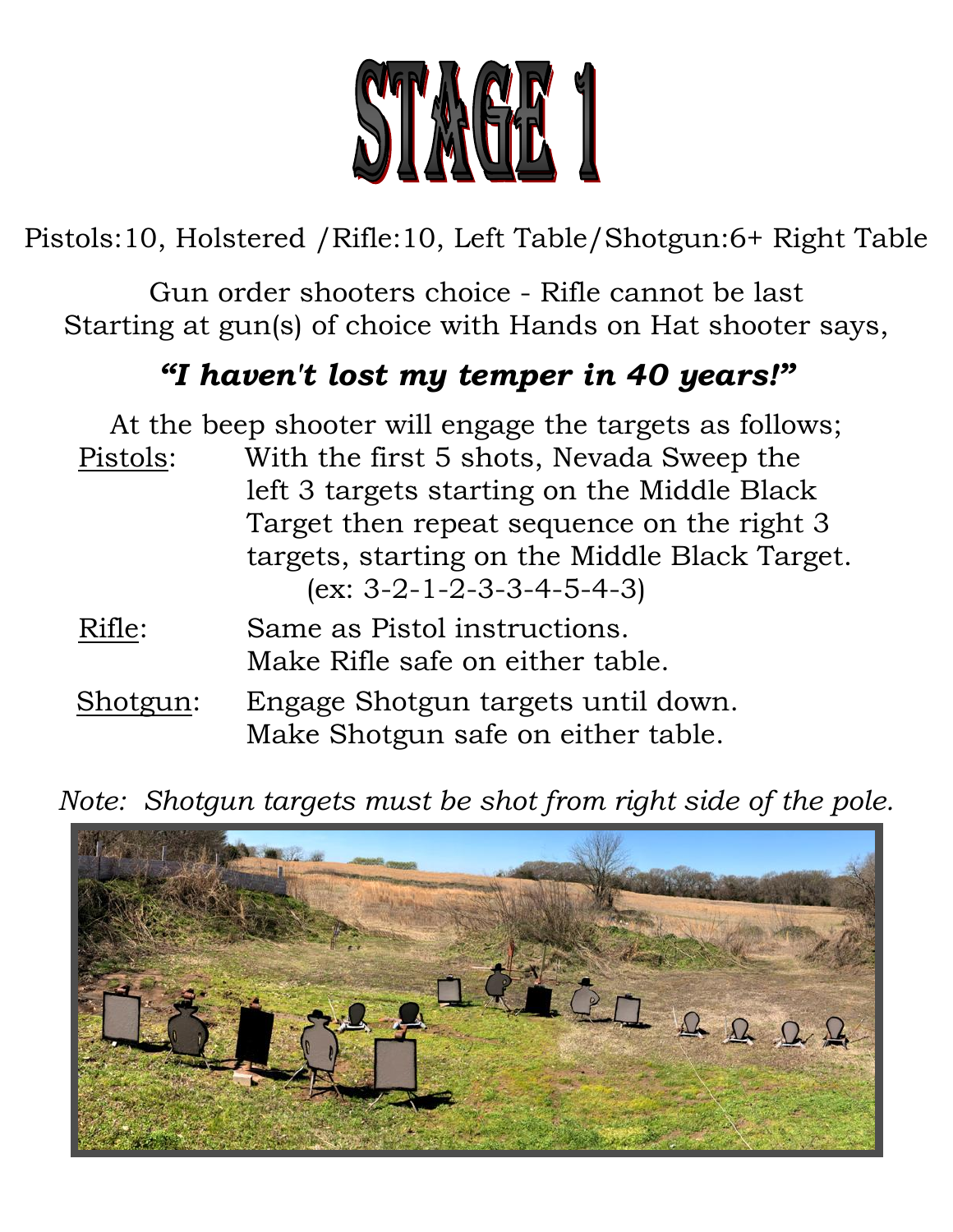

Pistols:10, Holstered /Rifle:10, Left Table/Shotgun:6+ Right Table

Gun order shooters choice - Rifle cannot be last Starting at gun(s) of choice with Hands on Hat shooter says,

# *"I haven't lost my temper in 40 years!"*

|          | At the beep shooter will engage the targets as follows; |
|----------|---------------------------------------------------------|
| Pistols: | With the first 5 shots, Nevada Sweep the                |
|          | left 3 targets starting on the Middle Black             |
|          | Target then repeat sequence on the right 3              |
|          | targets, starting on the Middle Black Target.           |
|          | $(ex: 3-2-1-2-3-3-4-5-4-3)$                             |
| Rifle:   | Same as Pistol instructions.                            |
|          | Make Rifle safe on either table.                        |

 Shotgun: Engage Shotgun targets until down. Make Shotgun safe on either table.

*Note: Shotgun targets must be shot from right side of the pole.*

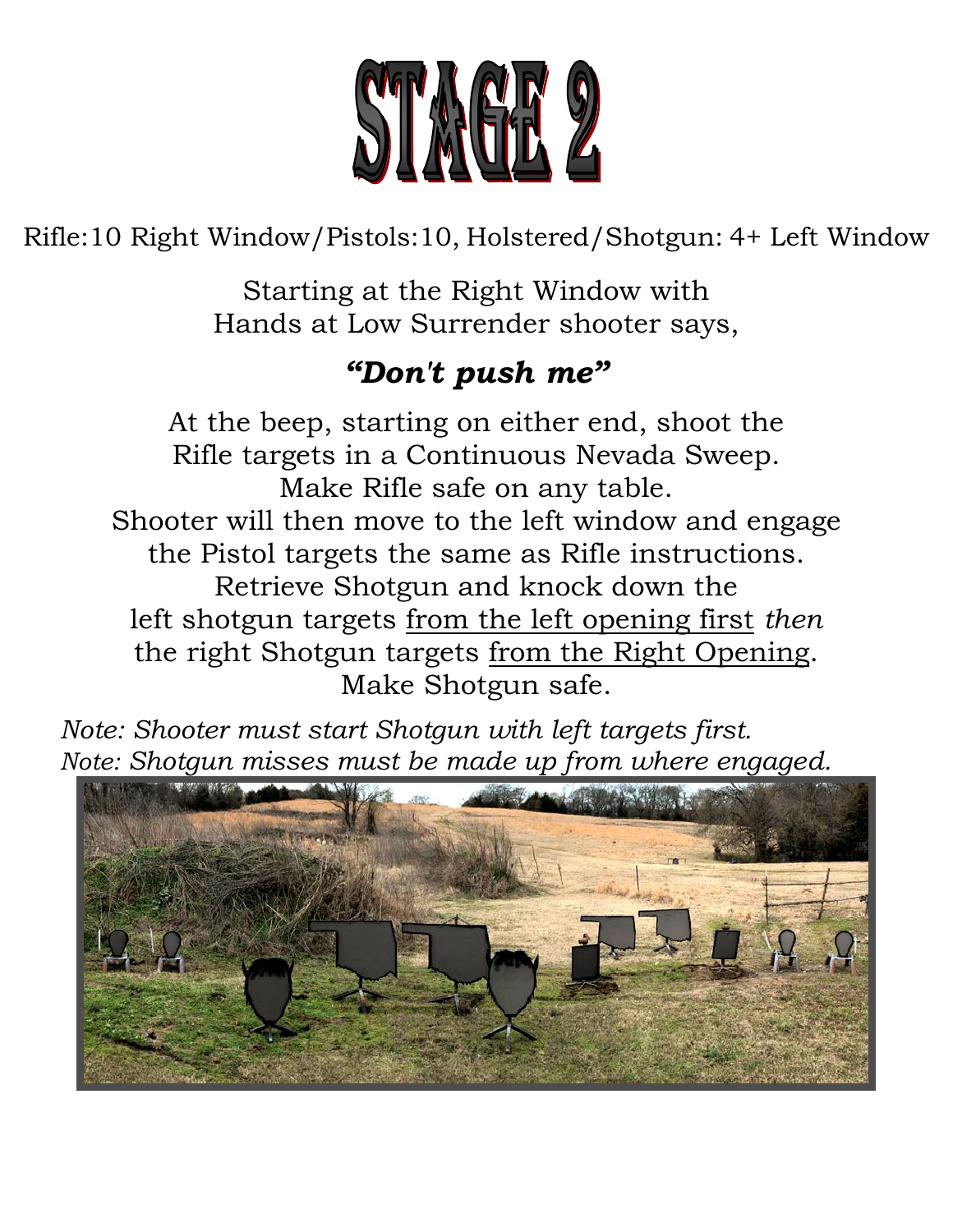

Rifle:10 Right Window/Pistols:10, Holstered/Shotgun: 4+ Left Window

Starting at the Right Window with Hands at Low Surrender shooter says,

## *"Don't push me"*

At the beep, starting on either end, shoot the Rifle targets in a Continuous Nevada Sweep. Make Rifle safe on any table. Shooter will then move to the left window and engage the Pistol targets the same as Rifle instructions. Retrieve Shotgun and knock down the left shotgun targets from the left opening first *then* the right Shotgun targets from the Right Opening. Make Shotgun safe.

 *Note: Shooter must start Shotgun with left targets first. Note: Shotgun misses must be made up from where engaged.*

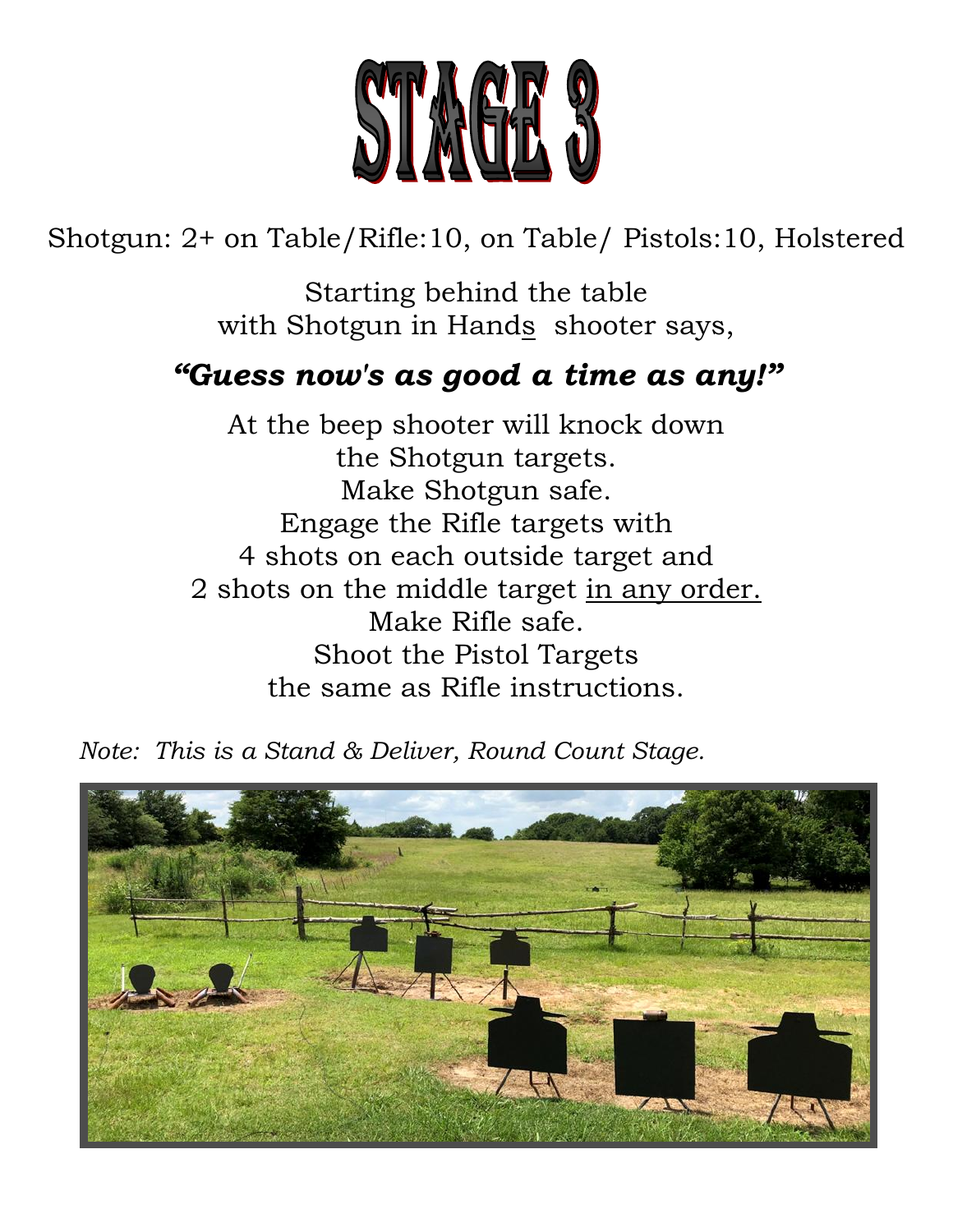

Shotgun: 2+ on Table/Rifle:10, on Table/ Pistols:10, Holstered

Starting behind the table with Shotgun in Hands shooter says,

#### *"Guess now's as good a time as any!"*

At the beep shooter will knock down the Shotgun targets. Make Shotgun safe. Engage the Rifle targets with 4 shots on each outside target and 2 shots on the middle target in any order. Make Rifle safe. Shoot the Pistol Targets the same as Rifle instructions.

*Note: This is a Stand & Deliver, Round Count Stage.*

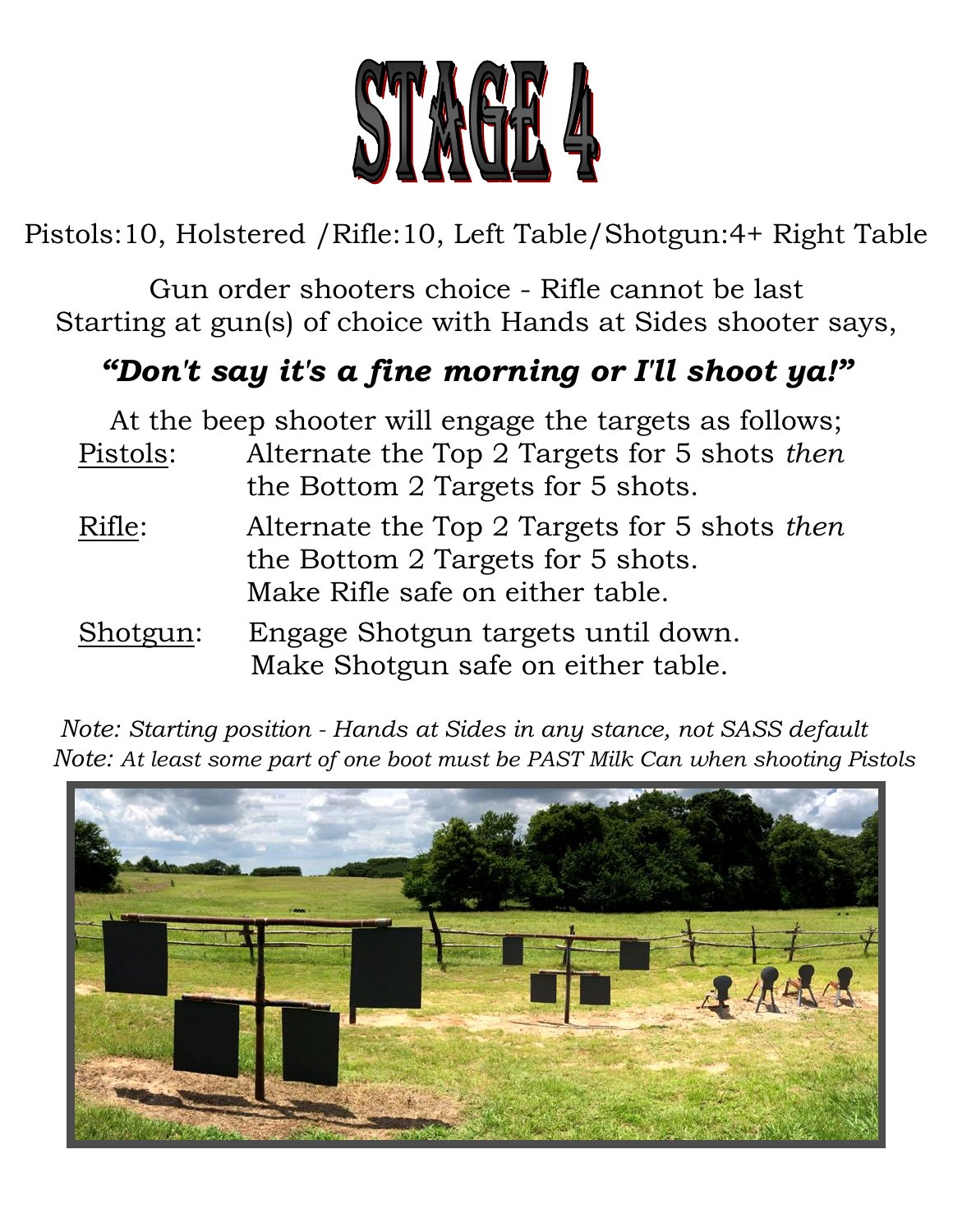

Pistols:10, Holstered /Rifle:10, Left Table/Shotgun:4+ Right Table

Gun order shooters choice - Rifle cannot be last Starting at gun(s) of choice with Hands at Sides shooter says,

### *"Don't say it's a fine morning or I'll shoot ya!"*

|          | At the beep shooter will engage the targets as follows;                  |
|----------|--------------------------------------------------------------------------|
| Pistols: | Alternate the Top 2 Targets for 5 shots then                             |
|          | the Bottom 2 Targets for 5 shots.                                        |
| Rifle:   | Alternate the Top 2 Targets for 5 shots then                             |
|          | the Bottom 2 Targets for 5 shots.                                        |
|          | Make Rifle safe on either table.                                         |
| Shotgun: | Engage Shotgun targets until down.<br>Make Shotgun safe on either table. |

 *Note: Starting position - Hands at Sides in any stance, not SASS default Note: At least some part of one boot must be PAST Milk Can when shooting Pistols*

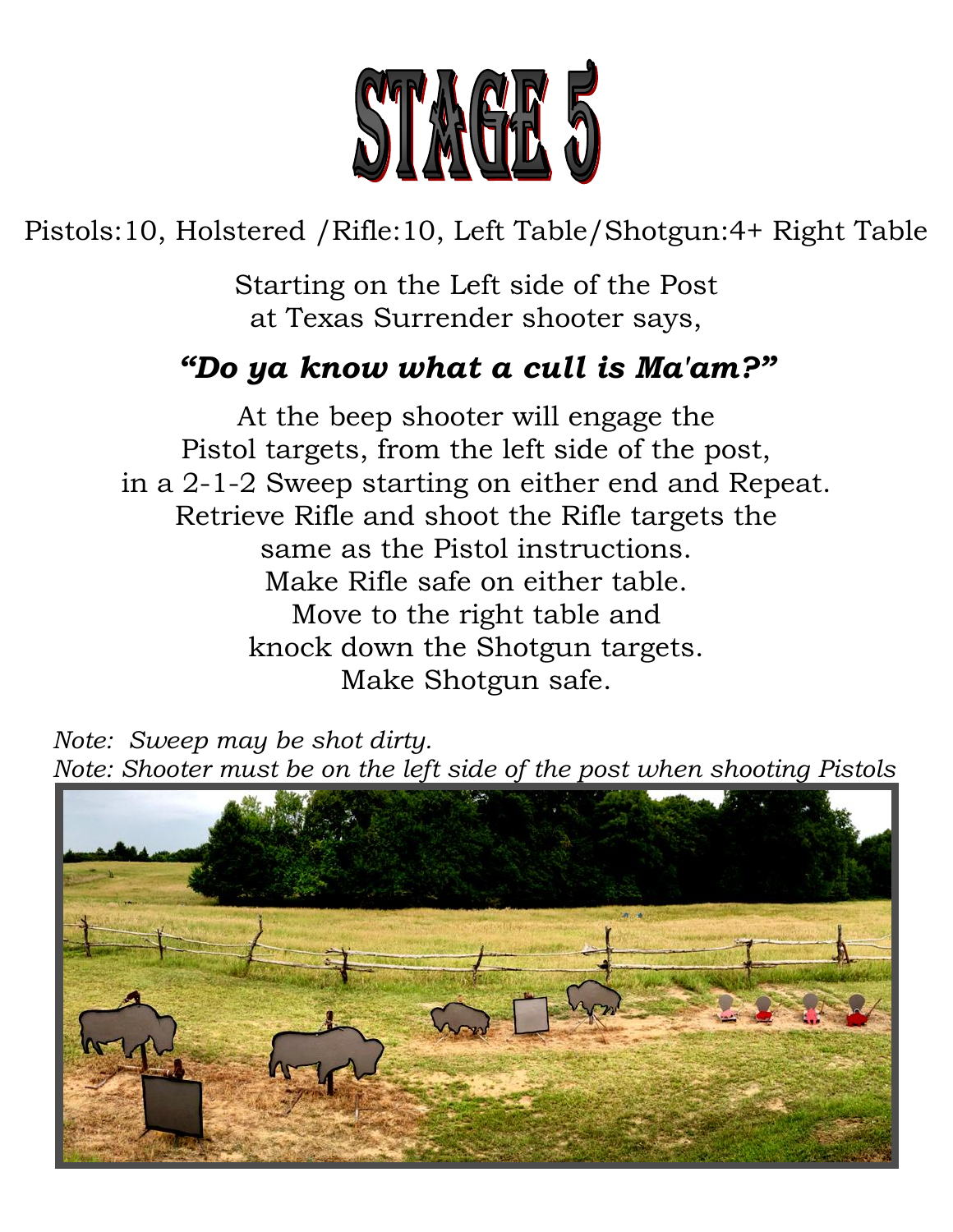

# Pistols:10, Holstered /Rifle:10, Left Table/Shotgun:4+ Right Table

Starting on the Left side of the Post at Texas Surrender shooter says,

#### *"Do ya know what a cull is Ma'am?"*

At the beep shooter will engage the Pistol targets, from the left side of the post, in a 2-1-2 Sweep starting on either end and Repeat. Retrieve Rifle and shoot the Rifle targets the same as the Pistol instructions. Make Rifle safe on either table. Move to the right table and knock down the Shotgun targets. Make Shotgun safe.

 *Note: Sweep may be shot dirty. Note: Shooter must be on the left side of the post when shooting Pistols*